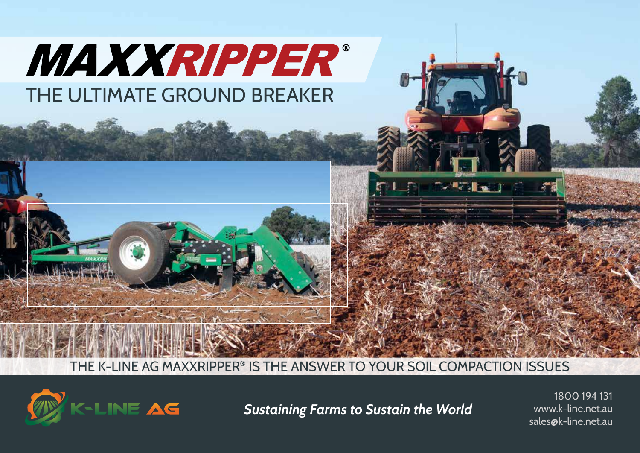

THE K-LINE AG MAXXRIPPER® IS THE ANSWER TO YOUR SOIL COMPACTION ISSUES



**Sustaining Farms to Sustain the World** www.k-line.net.au **Sustaining Farms to Sustain the World** 

1800 194 131 www.k-line.net.au